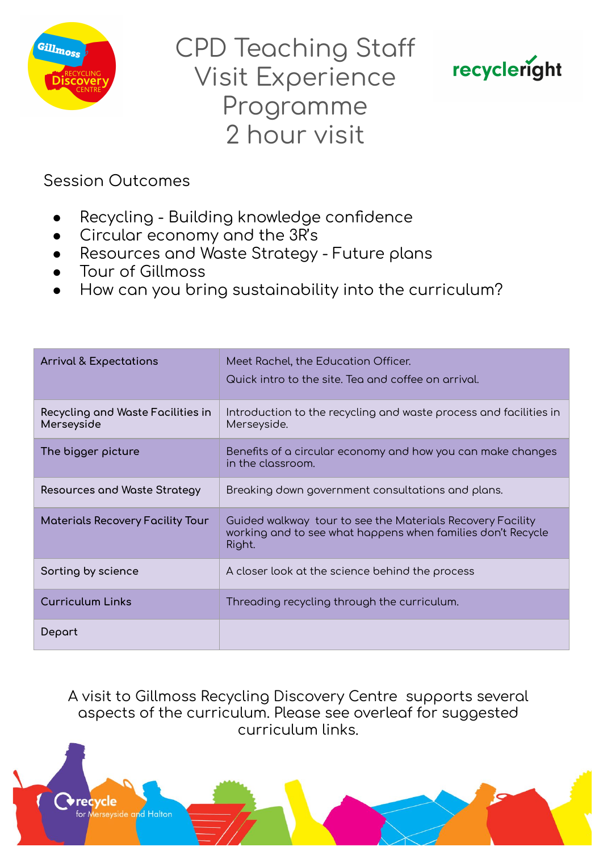

**CPD Teaching Staff Visit Experience** Programme 2 hour visit



**Session Outcomes** 

- Recycling Building knowledge confidence
- Circular economy and the 3R's
- Resources and Waste Strategy Future plans
- Tour of Gillmoss
- How can you bring sustainability into the curriculum?

| <b>Arrival &amp; Expectations</b>               | Meet Rachel, the Education Officer.<br>Quick intro to the site. Tea and coffee on arrival.                                          |
|-------------------------------------------------|-------------------------------------------------------------------------------------------------------------------------------------|
| Recycling and Waste Facilities in<br>Merseyside | Introduction to the recycling and waste process and facilities in<br>Merseyside.                                                    |
| The bigger picture                              | Benefits of a circular economy and how you can make changes<br>in the classroom.                                                    |
| Resources and Waste Strategy                    | Breaking down government consultations and plans.                                                                                   |
| <b>Materials Recovery Facility Tour</b>         | Guided walkway tour to see the Materials Recovery Facility<br>working and to see what happens when families don't Recycle<br>Right. |
| Sorting by science                              | A closer look at the science behind the process                                                                                     |
| <b>Curriculum Links</b>                         | Threading recycling through the curriculum.                                                                                         |
| Depart                                          |                                                                                                                                     |

A visit to Gillmoss Recycling Discovery Centre supports several aspects of the curriculum. Please see overleaf for suggested curriculum links.